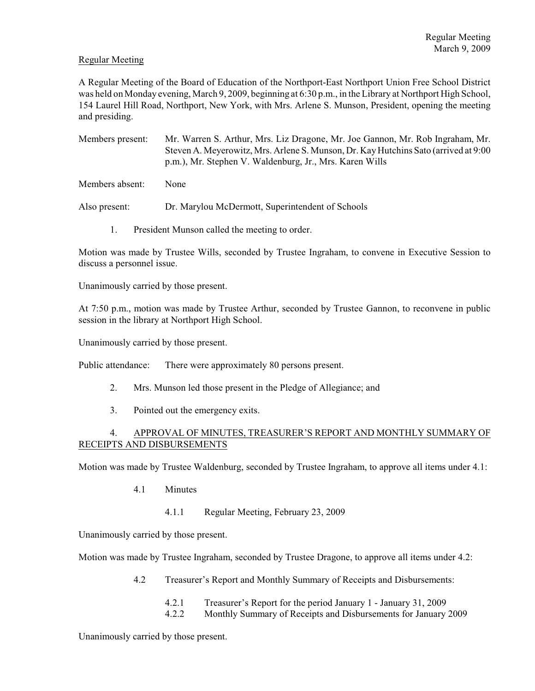# Regular Meeting

A Regular Meeting of the Board of Education of the Northport-East Northport Union Free School District was held on Monday evening, March 9, 2009, beginning at 6:30 p.m., in the Library at Northport High School, 154 Laurel Hill Road, Northport, New York, with Mrs. Arlene S. Munson, President, opening the meeting and presiding.

Members present: Mr. Warren S. Arthur, Mrs. Liz Dragone, Mr. Joe Gannon, Mr. Rob Ingraham, Mr. Steven A. Meyerowitz, Mrs. Arlene S. Munson, Dr. Kay Hutchins Sato (arrived at 9:00 p.m.), Mr. Stephen V. Waldenburg, Jr., Mrs. Karen Wills

Members absent: None

Also present: Dr. Marylou McDermott, Superintendent of Schools

1. President Munson called the meeting to order.

Motion was made by Trustee Wills, seconded by Trustee Ingraham, to convene in Executive Session to discuss a personnel issue.

Unanimously carried by those present.

At 7:50 p.m., motion was made by Trustee Arthur, seconded by Trustee Gannon, to reconvene in public session in the library at Northport High School.

Unanimously carried by those present.

Public attendance: There were approximately 80 persons present.

- 2. Mrs. Munson led those present in the Pledge of Allegiance; and
- 3. Pointed out the emergency exits.

# 4. APPROVAL OF MINUTES, TREASURER'S REPORT AND MONTHLY SUMMARY OF RECEIPTS AND DISBURSEMENTS

Motion was made by Trustee Waldenburg, seconded by Trustee Ingraham, to approve all items under 4.1:

- 4.1 Minutes
	- 4.1.1 Regular Meeting, February 23, 2009

Unanimously carried by those present.

Motion was made by Trustee Ingraham, seconded by Trustee Dragone, to approve all items under 4.2:

- 4.2 Treasurer's Report and Monthly Summary of Receipts and Disbursements:
	- 4.2.1 Treasurer's Report for the period January 1 January 31, 2009
	- 4.2.2 Monthly Summary of Receipts and Disbursements for January 2009

Unanimously carried by those present.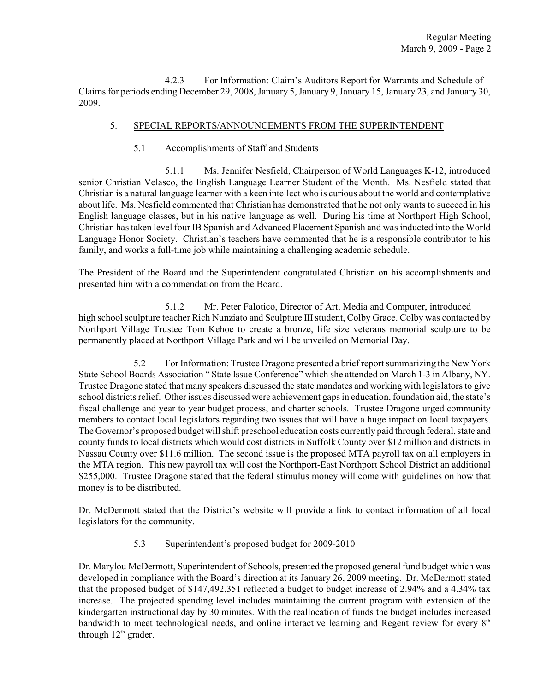4.2.3 For Information: Claim's Auditors Report for Warrants and Schedule of Claims for periods ending December 29, 2008, January 5, January 9, January 15, January 23, and January 30, 2009.

## 5. SPECIAL REPORTS/ANNOUNCEMENTS FROM THE SUPERINTENDENT

5.1 Accomplishments of Staff and Students

5.1.1 Ms. Jennifer Nesfield, Chairperson of World Languages K-12, introduced senior Christian Velasco, the English Language Learner Student of the Month. Ms. Nesfield stated that Christian is a natural language learner with a keen intellect who is curious about the world and contemplative about life. Ms. Nesfield commented that Christian has demonstrated that he not only wants to succeed in his English language classes, but in his native language as well. During his time at Northport High School, Christian has taken level four IB Spanish and Advanced Placement Spanish and was inducted into the World Language Honor Society. Christian's teachers have commented that he is a responsible contributor to his family, and works a full-time job while maintaining a challenging academic schedule.

The President of the Board and the Superintendent congratulated Christian on his accomplishments and presented him with a commendation from the Board.

5.1.2 Mr. Peter Falotico, Director of Art, Media and Computer, introduced high school sculpture teacher Rich Nunziato and Sculpture III student, Colby Grace. Colby was contacted by Northport Village Trustee Tom Kehoe to create a bronze, life size veterans memorial sculpture to be permanently placed at Northport Village Park and will be unveiled on Memorial Day.

5.2 For Information: Trustee Dragone presented a brief report summarizing the New York State School Boards Association " State Issue Conference" which she attended on March 1-3 in Albany, NY. Trustee Dragone stated that many speakers discussed the state mandates and working with legislators to give school districts relief. Other issues discussed were achievement gaps in education, foundation aid, the state's fiscal challenge and year to year budget process, and charter schools. Trustee Dragone urged community members to contact local legislators regarding two issues that will have a huge impact on local taxpayers. The Governor's proposed budget will shift preschool education costs currently paid through federal, state and county funds to local districts which would cost districts in Suffolk County over \$12 million and districts in Nassau County over \$11.6 million. The second issue is the proposed MTA payroll tax on all employers in the MTA region. This new payroll tax will cost the Northport-East Northport School District an additional \$255,000. Trustee Dragone stated that the federal stimulus money will come with guidelines on how that money is to be distributed.

Dr. McDermott stated that the District's website will provide a link to contact information of all local legislators for the community.

5.3 Superintendent's proposed budget for 2009-2010

Dr. Marylou McDermott, Superintendent of Schools, presented the proposed general fund budget which was developed in compliance with the Board's direction at its January 26, 2009 meeting. Dr. McDermott stated that the proposed budget of \$147,492,351 reflected a budget to budget increase of 2.94% and a 4.34% tax increase. The projected spending level includes maintaining the current program with extension of the kindergarten instructional day by 30 minutes. With the reallocation of funds the budget includes increased bandwidth to meet technological needs, and online interactive learning and Regent review for every  $8<sup>th</sup>$ through  $12<sup>th</sup>$  grader.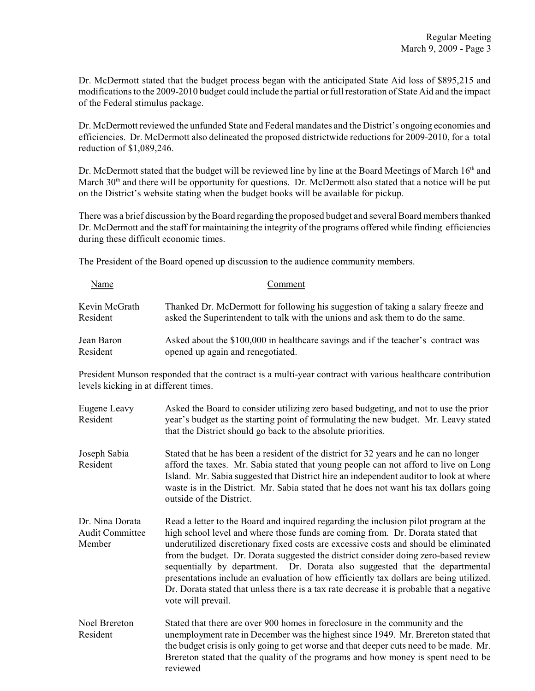Dr. McDermott stated that the budget process began with the anticipated State Aid loss of \$895,215 and modifications to the 2009-2010 budget could include the partial or full restoration of State Aid and the impact of the Federal stimulus package.

Dr. McDermott reviewed the unfunded State and Federal mandates and the District's ongoing economies and efficiencies. Dr. McDermott also delineated the proposed districtwide reductions for 2009-2010, for a total reduction of \$1,089,246.

Dr. McDermott stated that the budget will be reviewed line by line at the Board Meetings of March 16<sup>th</sup> and March 30<sup>th</sup> and there will be opportunity for questions. Dr. McDermott also stated that a notice will be put on the District's website stating when the budget books will be available for pickup.

There was a brief discussion by the Board regarding the proposed budget and several Board members thanked Dr. McDermott and the staff for maintaining the integrity of the programs offered while finding efficiencies during these difficult economic times.

The President of the Board opened up discussion to the audience community members.

| Name                                                                                                                                                | Comment                                                                                                                                                                                                                                                                                                                                                                                                                                                                                                                                                                                                                                            |  |  |
|-----------------------------------------------------------------------------------------------------------------------------------------------------|----------------------------------------------------------------------------------------------------------------------------------------------------------------------------------------------------------------------------------------------------------------------------------------------------------------------------------------------------------------------------------------------------------------------------------------------------------------------------------------------------------------------------------------------------------------------------------------------------------------------------------------------------|--|--|
| Kevin McGrath<br>Resident                                                                                                                           | Thanked Dr. McDermott for following his suggestion of taking a salary freeze and<br>asked the Superintendent to talk with the unions and ask them to do the same.                                                                                                                                                                                                                                                                                                                                                                                                                                                                                  |  |  |
| Jean Baron<br>Resident                                                                                                                              | Asked about the \$100,000 in healthcare savings and if the teacher's contract was<br>opened up again and renegotiated.                                                                                                                                                                                                                                                                                                                                                                                                                                                                                                                             |  |  |
| President Munson responded that the contract is a multi-year contract with various healthcare contribution<br>levels kicking in at different times. |                                                                                                                                                                                                                                                                                                                                                                                                                                                                                                                                                                                                                                                    |  |  |
| <b>Eugene Leavy</b><br>Resident                                                                                                                     | Asked the Board to consider utilizing zero based budgeting, and not to use the prior<br>year's budget as the starting point of formulating the new budget. Mr. Leavy stated<br>that the District should go back to the absolute priorities.                                                                                                                                                                                                                                                                                                                                                                                                        |  |  |
| Joseph Sabia<br>Resident                                                                                                                            | Stated that he has been a resident of the district for 32 years and he can no longer<br>afford the taxes. Mr. Sabia stated that young people can not afford to live on Long<br>Island. Mr. Sabia suggested that District hire an independent auditor to look at where<br>waste is in the District. Mr. Sabia stated that he does not want his tax dollars going<br>outside of the District.                                                                                                                                                                                                                                                        |  |  |
| Dr. Nina Dorata<br><b>Audit Committee</b><br>Member                                                                                                 | Read a letter to the Board and inquired regarding the inclusion pilot program at the<br>high school level and where those funds are coming from. Dr. Dorata stated that<br>underutilized discretionary fixed costs are excessive costs and should be eliminated<br>from the budget. Dr. Dorata suggested the district consider doing zero-based review<br>sequentially by department. Dr. Dorata also suggested that the departmental<br>presentations include an evaluation of how efficiently tax dollars are being utilized.<br>Dr. Dorata stated that unless there is a tax rate decrease it is probable that a negative<br>vote will prevail. |  |  |
| <b>Noel Brereton</b><br>Resident                                                                                                                    | Stated that there are over 900 homes in foreclosure in the community and the<br>unemployment rate in December was the highest since 1949. Mr. Brereton stated that<br>the budget crisis is only going to get worse and that deeper cuts need to be made. Mr.<br>Brereton stated that the quality of the programs and how money is spent need to be<br>reviewed                                                                                                                                                                                                                                                                                     |  |  |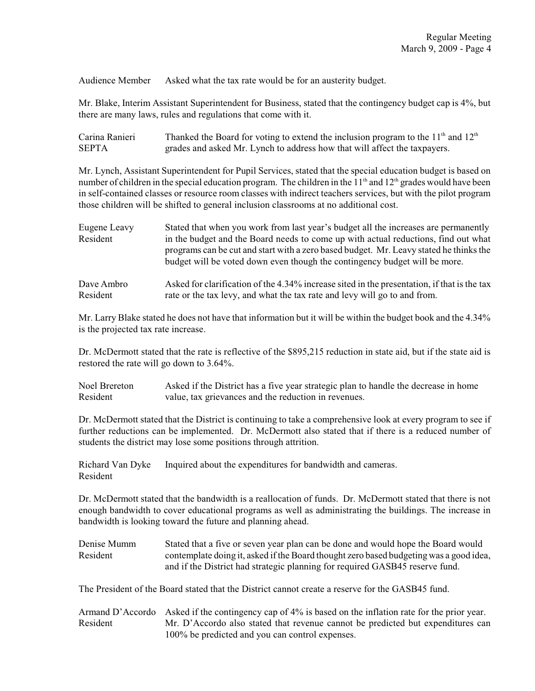Audience Member Asked what the tax rate would be for an austerity budget.

Mr. Blake, Interim Assistant Superintendent for Business, stated that the contingency budget cap is 4%, but there are many laws, rules and regulations that come with it.

| Carina Ranieri | Thanked the Board for voting to extend the inclusion program to the $11th$ and $12th$ |
|----------------|---------------------------------------------------------------------------------------|
| <b>SEPTA</b>   | grades and asked Mr. Lynch to address how that will affect the taxpayers.             |

Mr. Lynch, Assistant Superintendent for Pupil Services, stated that the special education budget is based on number of children in the special education program. The children in the  $11<sup>th</sup>$  and  $12<sup>th</sup>$  grades would have been in self-contained classes or resource room classes with indirect teachers services, but with the pilot program those children will be shifted to general inclusion classrooms at no additional cost.

| Eugene Leavy<br>Resident | Stated that when you work from last year's budget all the increases are permanently<br>in the budget and the Board needs to come up with actual reductions, find out what<br>programs can be cut and start with a zero based budget. Mr. Leavy stated he thinks the<br>budget will be voted down even though the contingency budget will be more. |
|--------------------------|---------------------------------------------------------------------------------------------------------------------------------------------------------------------------------------------------------------------------------------------------------------------------------------------------------------------------------------------------|
| Dave Ambro               | Asked for clarification of the 4.34% increase sited in the presentation, if that is the tax                                                                                                                                                                                                                                                       |
| Resident                 | rate or the tax levy, and what the tax rate and levy will go to and from.                                                                                                                                                                                                                                                                         |

Mr. Larry Blake stated he does not have that information but it will be within the budget book and the 4.34% is the projected tax rate increase.

Dr. McDermott stated that the rate is reflective of the \$895,215 reduction in state aid, but if the state aid is restored the rate will go down to 3.64%.

Noel Brereton Asked if the District has a five year strategic plan to handle the decrease in home Resident value, tax grievances and the reduction in revenues.

Dr. McDermott stated that the District is continuing to take a comprehensive look at every program to see if further reductions can be implemented. Dr. McDermott also stated that if there is a reduced number of students the district may lose some positions through attrition.

Richard Van Dyke Inquired about the expenditures for bandwidth and cameras. Resident

Dr. McDermott stated that the bandwidth is a reallocation of funds. Dr. McDermott stated that there is not enough bandwidth to cover educational programs as well as administrating the buildings. The increase in bandwidth is looking toward the future and planning ahead.

Denise Mumm Stated that a five or seven year plan can be done and would hope the Board would Resident contemplate doing it, asked if the Board thought zero based budgeting was a good idea, and if the District had strategic planning for required GASB45 reserve fund.

The President of the Board stated that the District cannot create a reserve for the GASB45 fund.

Armand D'Accordo Asked if the contingency cap of 4% is based on the inflation rate for the prior year. Resident Mr. D'Accordo also stated that revenue cannot be predicted but expenditures can 100% be predicted and you can control expenses.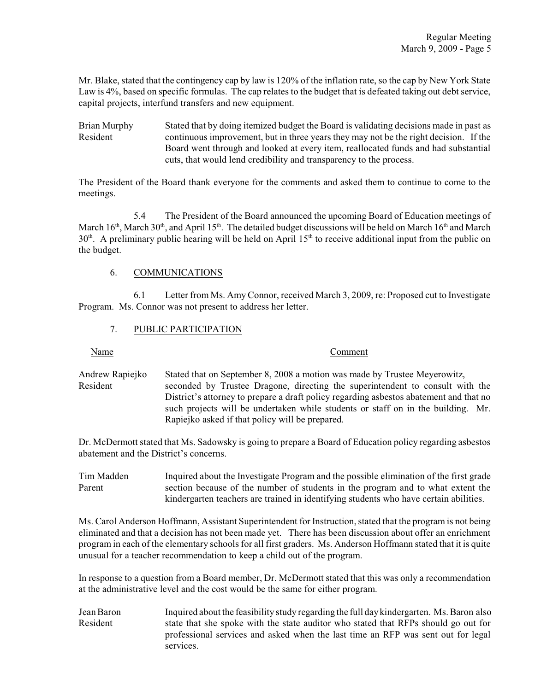Mr. Blake, stated that the contingency cap by law is 120% of the inflation rate, so the cap by New York State Law is 4%, based on specific formulas. The cap relates to the budget that is defeated taking out debt service, capital projects, interfund transfers and new equipment.

Brian Murphy Stated that by doing itemized budget the Board is validating decisions made in past as Resident continuous improvement, but in three years they may not be the right decision. If the Board went through and looked at every item, reallocated funds and had substantial cuts, that would lend credibility and transparency to the process.

The President of the Board thank everyone for the comments and asked them to continue to come to the meetings.

5.4 The President of the Board announced the upcoming Board of Education meetings of March  $16<sup>th</sup>$ , March  $30<sup>th</sup>$ , and April  $15<sup>th</sup>$ . The detailed budget discussions will be held on March  $16<sup>th</sup>$  and March  $30<sup>th</sup>$ . A preliminary public hearing will be held on April  $15<sup>th</sup>$  to receive additional input from the public on the budget.

# 6. COMMUNICATIONS

6.1 Letter from Ms. Amy Connor, received March 3, 2009, re: Proposed cut to Investigate Program. Ms. Connor was not present to address her letter.

# 7. PUBLIC PARTICIPATION

Name Comment

Andrew Rapiejko Stated that on September 8, 2008 a motion was made by Trustee Meyerowitz, Resident seconded by Trustee Dragone, directing the superintendent to consult with the District's attorney to prepare a draft policy regarding asbestos abatement and that no such projects will be undertaken while students or staff on in the building. Mr. Rapiejko asked if that policy will be prepared.

Dr. McDermott stated that Ms. Sadowsky is going to prepare a Board of Education policy regarding asbestos abatement and the District's concerns.

Tim Madden Inquired about the Investigate Program and the possible elimination of the first grade Parent section because of the number of students in the program and to what extent the kindergarten teachers are trained in identifying students who have certain abilities.

Ms. Carol Anderson Hoffmann, Assistant Superintendent for Instruction, stated that the program is not being eliminated and that a decision has not been made yet. There has been discussion about offer an enrichment program in each of the elementary schools for all first graders. Ms. Anderson Hoffmann stated that it is quite unusual for a teacher recommendation to keep a child out of the program.

In response to a question from a Board member, Dr. McDermott stated that this was only a recommendation at the administrative level and the cost would be the same for either program.

Jean Baron Inquired about the feasibility study regarding the full day kindergarten. Ms. Baron also Resident state that she spoke with the state auditor who stated that RFPs should go out for professional services and asked when the last time an RFP was sent out for legal services.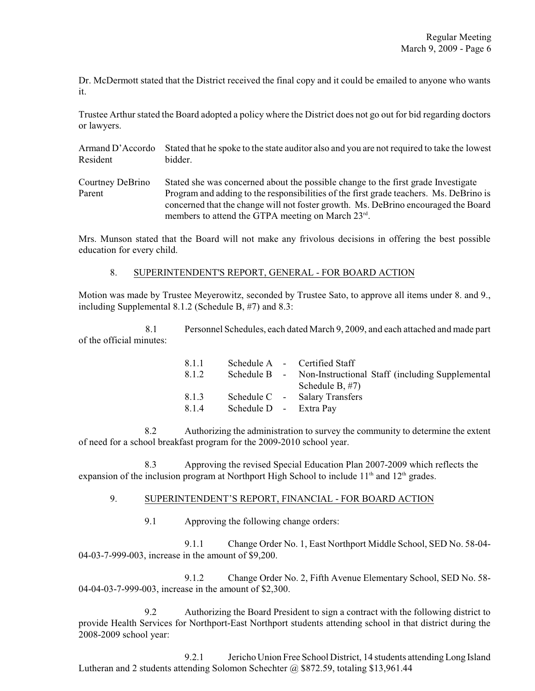Dr. McDermott stated that the District received the final copy and it could be emailed to anyone who wants it.

Trustee Arthur stated the Board adopted a policy where the District does not go out for bid regarding doctors or lawyers.

Armand D'Accordo Stated that he spoke to the state auditor also and you are not required to take the lowest Resident bidder.

Courtney DeBrino Stated she was concerned about the possible change to the first grade Investigate Parent Program and adding to the responsibilities of the first grade teachers. Ms. DeBrino is concerned that the change will not foster growth. Ms. DeBrino encouraged the Board members to attend the GTPA meeting on March 23rd.

Mrs. Munson stated that the Board will not make any frivolous decisions in offering the best possible education for every child.

## 8. SUPERINTENDENT'S REPORT, GENERAL - FOR BOARD ACTION

Motion was made by Trustee Meyerowitz, seconded by Trustee Sato, to approve all items under 8. and 9., including Supplemental 8.1.2 (Schedule B, #7) and 8.3:

8.1 Personnel Schedules, each dated March 9, 2009, and each attached and made part of the official minutes:

| Schedule B - Non-Instructional Staff (including Supplemental |
|--------------------------------------------------------------|
|                                                              |
|                                                              |
|                                                              |
|                                                              |

8.2 Authorizing the administration to survey the community to determine the extent of need for a school breakfast program for the 2009-2010 school year.

8.3 Approving the revised Special Education Plan 2007-2009 which reflects the expansion of the inclusion program at Northport High School to include  $11<sup>th</sup>$  and  $12<sup>th</sup>$  grades.

## 9. SUPERINTENDENT'S REPORT, FINANCIAL - FOR BOARD ACTION

9.1 Approving the following change orders:

9.1.1 Change Order No. 1, East Northport Middle School, SED No. 58-04- 04-03-7-999-003, increase in the amount of \$9,200.

9.1.2 Change Order No. 2, Fifth Avenue Elementary School, SED No. 58- 04-04-03-7-999-003, increase in the amount of \$2,300.

9.2 Authorizing the Board President to sign a contract with the following district to provide Health Services for Northport-East Northport students attending school in that district during the 2008-2009 school year:

9.2.1 Jericho Union Free School District, 14 students attending Long Island Lutheran and 2 students attending Solomon Schechter @ \$872.59, totaling \$13,961.44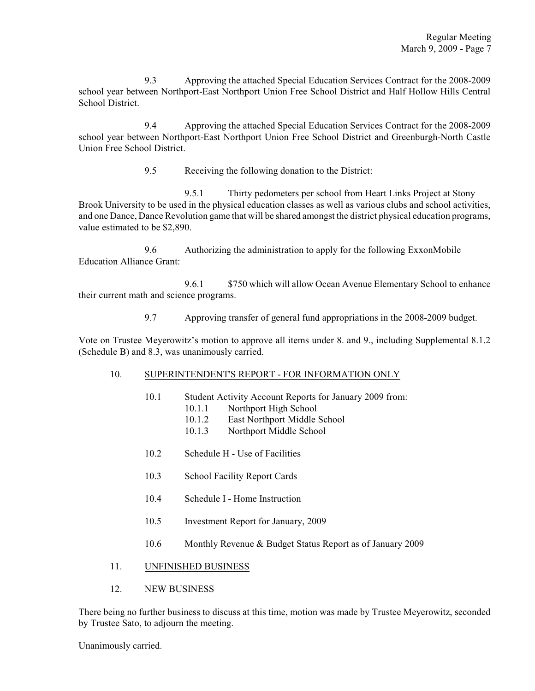9.3 Approving the attached Special Education Services Contract for the 2008-2009 school year between Northport-East Northport Union Free School District and Half Hollow Hills Central School District.

9.4 Approving the attached Special Education Services Contract for the 2008-2009 school year between Northport-East Northport Union Free School District and Greenburgh-North Castle Union Free School District.

9.5 Receiving the following donation to the District:

9.5.1 Thirty pedometers per school from Heart Links Project at Stony Brook University to be used in the physical education classes as well as various clubs and school activities, and one Dance, Dance Revolution game that will be shared amongst the district physical education programs, value estimated to be \$2,890.

9.6 Authorizing the administration to apply for the following ExxonMobile Education Alliance Grant:

9.6.1 \$750 which will allow Ocean Avenue Elementary School to enhance their current math and science programs.

9.7 Approving transfer of general fund appropriations in the 2008-2009 budget.

Vote on Trustee Meyerowitz's motion to approve all items under 8. and 9., including Supplemental 8.1.2 (Schedule B) and 8.3, was unanimously carried.

#### 10. SUPERINTENDENT'S REPORT - FOR INFORMATION ONLY

- 10.1 Student Activity Account Reports for January 2009 from:
	- 10.1.1 Northport High School
		- 10.1.2 East Northport Middle School
		- 10.1.3 Northport Middle School
- 10.2 Schedule H Use of Facilities
- 10.3 School Facility Report Cards
- 10.4 Schedule I Home Instruction
- 10.5 Investment Report for January, 2009
- 10.6 Monthly Revenue & Budget Status Report as of January 2009

## 11. UNFINISHED BUSINESS

#### 12. NEW BUSINESS

There being no further business to discuss at this time, motion was made by Trustee Meyerowitz, seconded by Trustee Sato, to adjourn the meeting.

Unanimously carried.